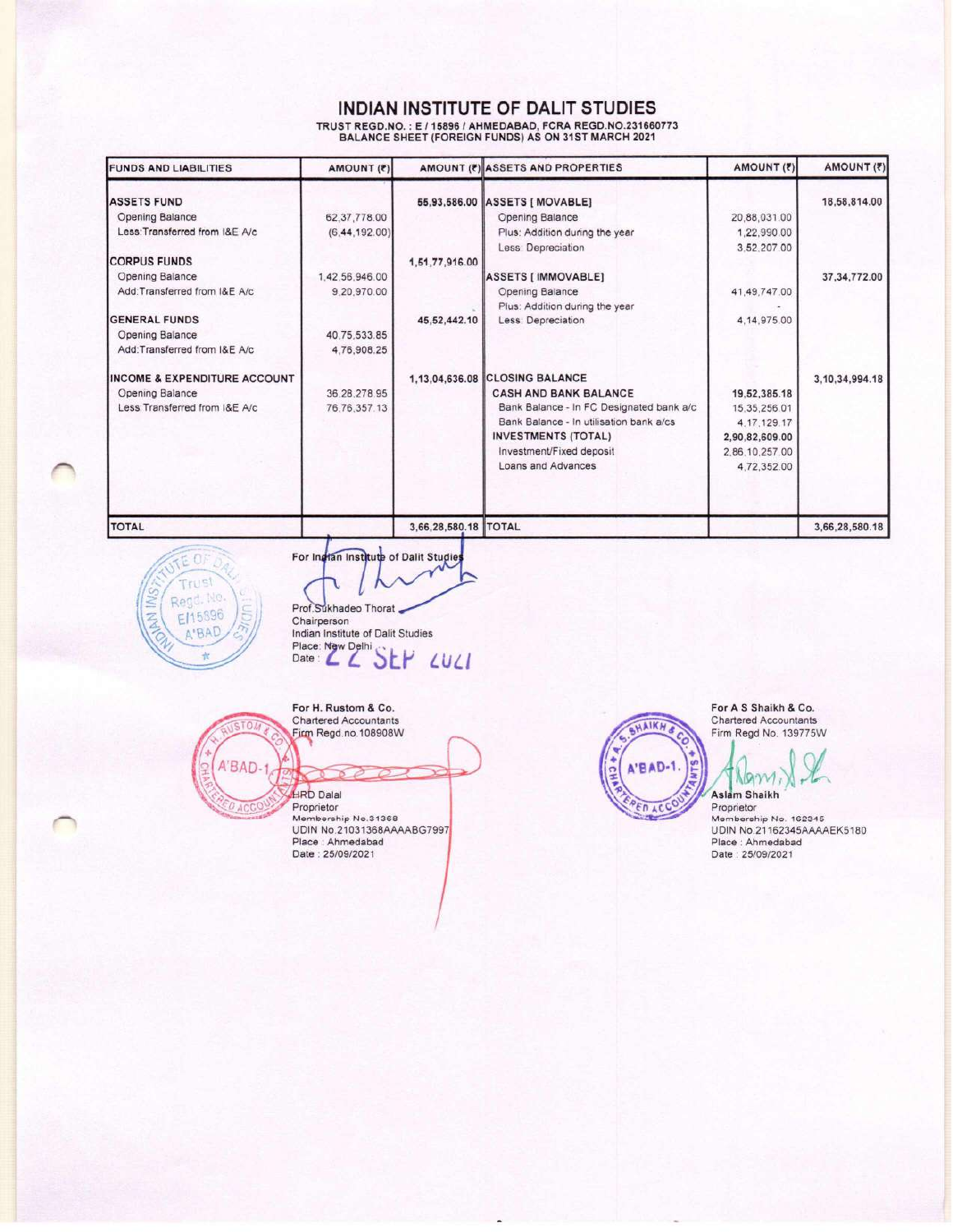# INDIAN INSTITUTE OF DALIT STUDIES

TRUST REGD.NO. : E / 15896 / AHMEDABAD, FCRA REGD.NO.231660773<br>BALANCE SHEET (FOREIGN FUNDS) AS ON 31ST MARCH 2021

| <b>FUNDS AND LIABILITIES</b>            | AMOUNT (?)      |                      | AMOUNT (?) ASSETS AND PROPERTIES         | AMOUNT (?)     | AMOUNT (₹)         |
|-----------------------------------------|-----------------|----------------------|------------------------------------------|----------------|--------------------|
| <b>ASSETS FUND</b>                      |                 |                      | 55,93,586.00 ASSETS [ MOVABLE]           |                | 18,58,814.00       |
| Opening Balance                         | 62.37.778.00    |                      | Opening Balance                          | 20,88,031.00   |                    |
| Less: Transferred from I&E A/c          | (6, 44, 192.00) |                      | Plus: Addition during the year           | 1,22,990.00    |                    |
|                                         |                 |                      | Less: Depreciation                       | 3.52.207.00    |                    |
| <b>CORPUS FUNDS</b>                     |                 | 1,51,77,916.00       |                                          |                |                    |
| Opening Balance                         | 1,42,56,946.00  |                      | ASSETS [ IMMOVABLE]                      |                | 37, 34, 772.00     |
| Add: Transferred from I&E A/c           | 9,20,970.00     |                      | Opening Balance                          | 41.49.747.00   |                    |
|                                         |                 |                      | Plus: Addition during the year           |                |                    |
| <b>GENERAL FUNDS</b>                    |                 | 45,52,442.10         | Less: Depreciation                       | 4.14.975.00    |                    |
| Opening Balance                         | 40,75,533.85    |                      |                                          |                |                    |
| Add:Transferred from I&E A/c            | 4,76,908.25     |                      |                                          |                |                    |
| <b>INCOME &amp; EXPENDITURE ACCOUNT</b> |                 |                      | 1,13,04,636.08 CLOSING BALANCE           |                | 3, 10, 34, 994. 18 |
| Opening Balance                         | 36.28.278.95    |                      | <b>CASH AND BANK BALANCE</b>             | 19,52,385.18   |                    |
| Less: Transferred from I&E A/c          | 76.76.357.13    |                      | Bank Balance - In FC Designated bank a/c | 15.35,256.01   |                    |
|                                         |                 |                      | Bank Balance - In utilisation bank a/cs  | 4.17.129.17    |                    |
|                                         |                 |                      | <b>INVESTMENTS (TOTAL)</b>               | 2,90,82,609.00 |                    |
|                                         |                 |                      | Investment/Fixed deposit                 | 2.86.10.257.00 |                    |
|                                         |                 |                      | <b>Loans and Advances</b>                | 4,72,352.00    |                    |
| <b>TOTAL</b>                            |                 | 3,66,28,580.18 TOTAL |                                          |                | 3,66,28,580.18     |



For Ingtan Institute of Dalit Studies

Prof.Sukhadeo Thorat Chairperson Indian Institute of Dalit Studies Place New Delhi<br>Date : 2 EV SEP LULI

For H. Rustom & Co.  $01$ A'BAD-1 **HRD** Dalal ACC

Chartered Accountants Firm Regd.no.108908W

Proprietor Membership No.31368 UDIN No.21031368AAAABG7997 Place: Ahmedabad<br>Date: 25/09/2021



For A S Shaikh & Co. Chartered Accountants Firm Regd No. 139775W

 $NQM$ Aslam Shaikh

Proprietor<br>Membership No. 162345 UDIN No.21162345AAAAEK5180 Place: Ahmedabad<br>Date: 25/09/2021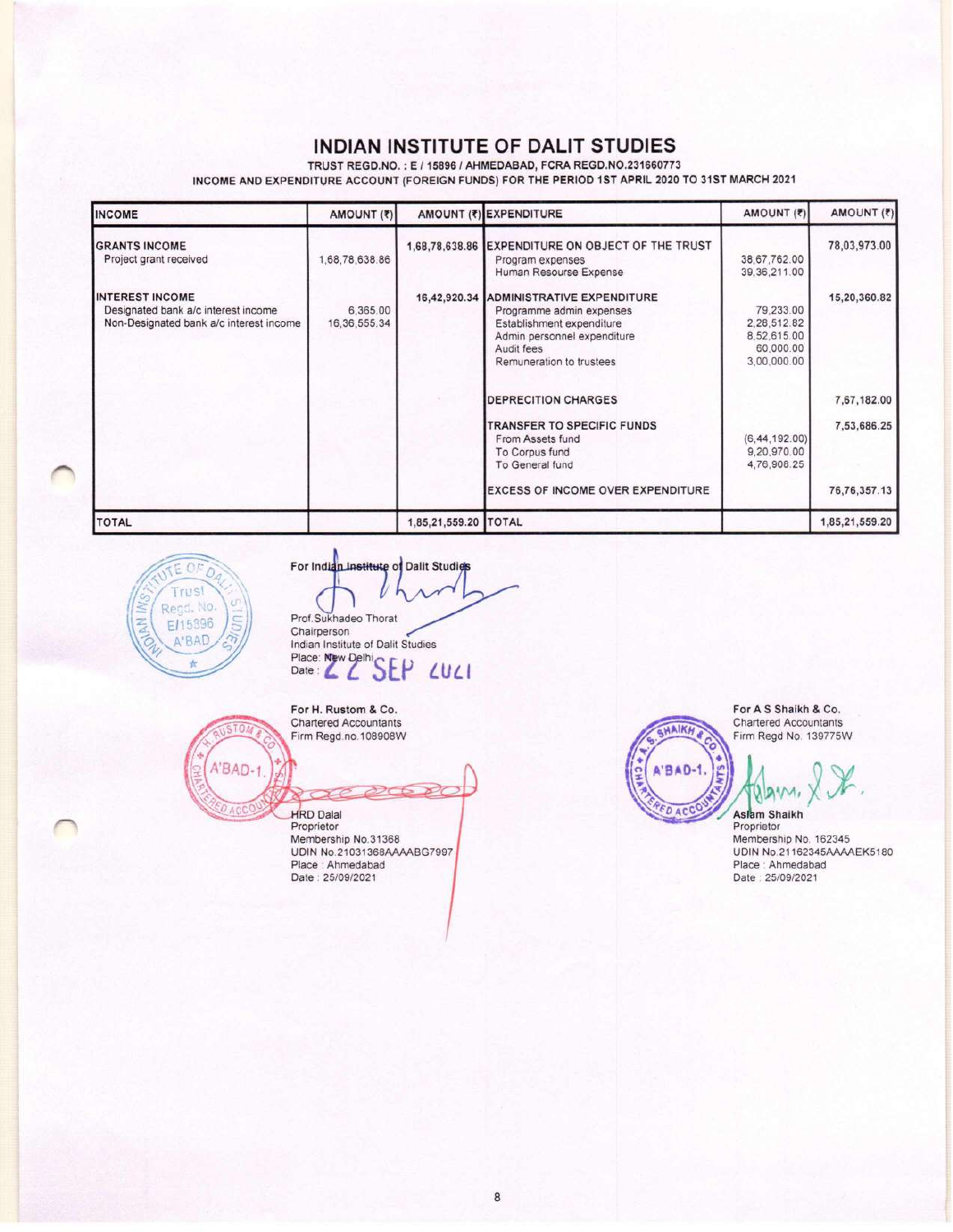# INDIAN INSTITUTE OF DALIT STUDIES

TRUST REGD.NO.: E / 15896 / AHMEDABAD, FCRA REGD.NO.231660773

INCOME AND EXPENDITURE ACCOUNT (FOREIGN FUNDS) FOR THE PERIOD 1ST APRIL 2020 TO 31ST MARCH 2021

| <b>INCOME</b>                                                                                            | AMOUNT (₹)                  |                      | AMOUNT (₹) EXPENDITURE                                                                                                                                       | AMOUNT (₹)                                                          | AMOUNT (₹)                 |
|----------------------------------------------------------------------------------------------------------|-----------------------------|----------------------|--------------------------------------------------------------------------------------------------------------------------------------------------------------|---------------------------------------------------------------------|----------------------------|
| <b>GRANTS INCOME</b><br>Project grant received                                                           | 1,68,78,638.86              |                      | 1,68,78,638.86 EXPENDITURE ON OBJECT OF THE TRUST<br>Program expenses<br>Human Resourse Expense                                                              | 38,67,762.00<br>39, 36, 211.00                                      | 78,03,973.00               |
| <b>INTEREST INCOME</b><br>Designated bank a/c interest income<br>Non-Designated bank a/c interest income | 6,365.00<br>16, 36, 555, 34 | 16,42,920.34         | ADMINISTRATIVE EXPENDITURE<br>Programme admin expenses<br>Establishment expenditure<br>Admin personnel expenditure<br>Audit fees<br>Remuneration to trustees | 79,233.00<br>2.28.512.82<br>8,52,615.00<br>60,000.00<br>3,00,000.00 | 15,20,360.82               |
|                                                                                                          |                             |                      | <b>DEPRECITION CHARGES</b><br>TRANSFER TO SPECIFIC FUNDS<br>From Assets fund<br>To Corpus fund<br>To General fund                                            | (6, 44, 192, 00)<br>9,20,970.00<br>4,76,908.25                      | 7,67,182.00<br>7,53,686.25 |
|                                                                                                          |                             |                      | <b>EXCESS OF INCOME OVER EXPENDITURE</b>                                                                                                                     |                                                                     | 76, 76, 357. 13            |
| <b>TOTAL</b>                                                                                             |                             | 1,85,21,559.20 TOTAL |                                                                                                                                                              |                                                                     | 1,85,21,559.20             |



TO.

**DACC** 

For Indian Institute of Dalit Studies Prof.Sukhadeo Thorat Chairperson Indian Institute St.<br>Place: New Delhi<br>Date: All SEP Indian Institute of Dalit Studies LULI

For H. Rustom & Co. Chartered Accountants Firm Regd.no.108908W

A'BAD-1 **HRD** Dalal

Proprietor Membership No.31368 UDIN No.21031368AAAABG7997 Place : Ahmedabad<br>Date : 25/09/2021

For A S Shaikh & Co.<br>Chartered Accountants Firm Regd No. 139775W

**A'BAD-1.** Ě AN **FDACCO** Aslam Shaikh

HAIKH

Proprietor Membership No. 162345 UDIN No.21162345AAAAEK5180 Place : Ahmedabad<br>Date : 25/09/2021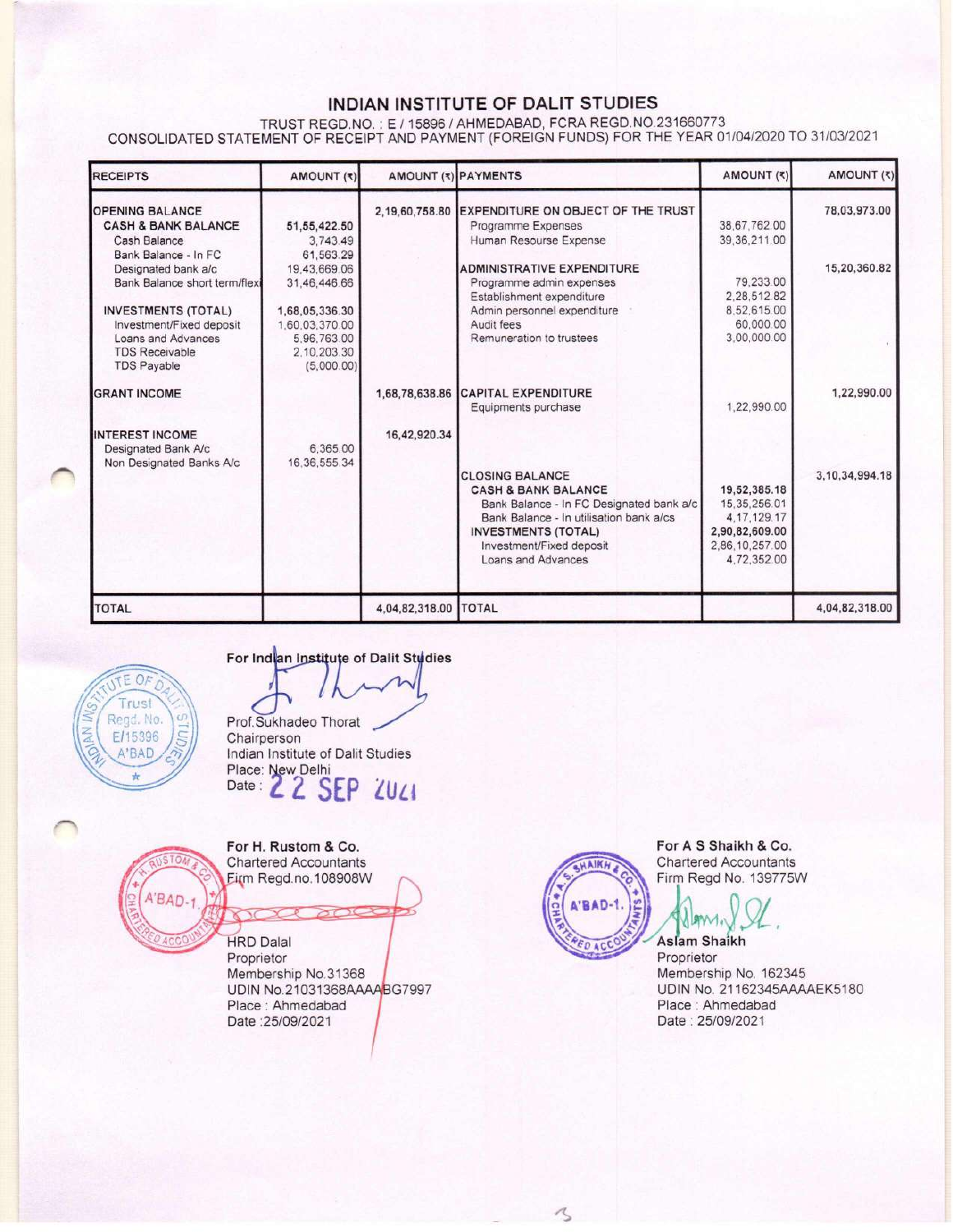# INDIAN INSTITUTE OF DALIT STUDIES

TRUST REGD.NO.: E / 15896 / AHMEDABAD, FCRA REGD.NO.231660773<br>CONSOLIDATED STATEMENT OF RECEIPT AND PAYMENT (FOREIGN FUNDS) FOR THE YEAR 01/04/2020 TO 31/03/2021

| <b>RECEIPTS</b>                | AMOUNT (₹)     | <b>AMOUNT (*) PAYMENTS</b> |                                                   | (F) TAUOMA     | AMOUNT (₹)         |
|--------------------------------|----------------|----------------------------|---------------------------------------------------|----------------|--------------------|
| <b>OPENING BALANCE</b>         |                |                            | 2,19,60,758.80 EXPENDITURE ON OBJECT OF THE TRUST |                | 78,03,973.00       |
| <b>CASH &amp; BANK BALANCE</b> | 51.55,422.50   |                            | Programme Expenses                                | 38.67.762.00   |                    |
| Cash Balance                   | 3.743.49       |                            | Human Resourse Expense                            | 39.36.211.00   |                    |
| Bank Balance - In FC           | 61,563.29      |                            |                                                   |                |                    |
| Designated bank a/c            | 19,43,669.06   |                            | ADMINISTRATIVE EXPENDITURE                        |                | 15,20,360.82       |
| Bank Balance short term/flex   | 31,46,446.66   |                            | Programme admin expenses                          | 79.233.00      |                    |
|                                |                |                            | Establishment expenditure                         | 2.28.512.82    |                    |
| <b>INVESTMENTS (TOTAL)</b>     | 1,68,05,336.30 |                            | Admin personnel expenditure                       | 8.52,615.00    |                    |
| Investment/Fixed deposit       | 1,60,03,370.00 |                            | Audit fees                                        | 60,000.00      |                    |
| Loans and Advances             | 5.96.763.00    |                            | Remuneration to trustees                          | 3,00,000.00    |                    |
| <b>TDS Receivable</b>          | 2.10.203.30    |                            |                                                   |                |                    |
| <b>TDS Payable</b>             | (5,000.00)     |                            |                                                   |                |                    |
| <b>GRANT INCOME</b>            |                | 1,68,78,638.86             | <b>CAPITAL EXPENDITURE</b><br>Equipments purchase | 1.22.990.00    | 1,22,990.00        |
|                                |                |                            |                                                   |                |                    |
| <b>INTEREST INCOME</b>         |                | 16,42,920.34               |                                                   |                |                    |
| Designated Bank A/c            | 6,365.00       |                            |                                                   |                |                    |
| Non Designated Banks A/c       | 16.36.555.34   |                            |                                                   |                |                    |
|                                |                |                            | <b>CLOSING BALANCE</b>                            |                | 3, 10, 34, 994, 18 |
|                                |                |                            | <b>CASH &amp; BANK BALANCE</b>                    | 19,52,385.18   |                    |
|                                |                |                            | Bank Balance - In FC Designated bank a/c          | 15, 35, 256.01 |                    |
|                                |                |                            | Bank Balance - In utilisation bank a/cs           | 4, 17, 129, 17 |                    |
|                                |                |                            | <b>INVESTMENTS (TOTAL)</b>                        | 2,90,82,609.00 |                    |
|                                |                |                            | Investment/Fixed deposit                          | 2,86,10,257.00 |                    |
|                                |                |                            | Loans and Advances                                | 4,72,352.00    |                    |
| <b>TOTAL</b>                   |                | 4,04,82,318.00 TOTAL       |                                                   |                | 4,04,82,318.00     |



For Indian Institute of Dalit Studies

Prof.Sukhadeo Thorat Chairperson Indian Institute of Dalit Studies Place: New Delhi<br>Date : 2 2 SEP 2021



For H. Rustom & Co. **Chartered Accountants** Firm Regd.no.108908W

**HRD Dalal** Proprietor Membership No.31368 UDIN No.21031368AAAABG7997 Place: Ahmedabad Date: 25/09/2021



く

For A S Shaikh & Co. Chartered Accountants Firm Regd No. 139775W

**Aslam Shaikh** Proprietor Membership No. 162345 UDIN No. 21162345AAAAEK5180 Place: Ahmedabad Date: 25/09/2021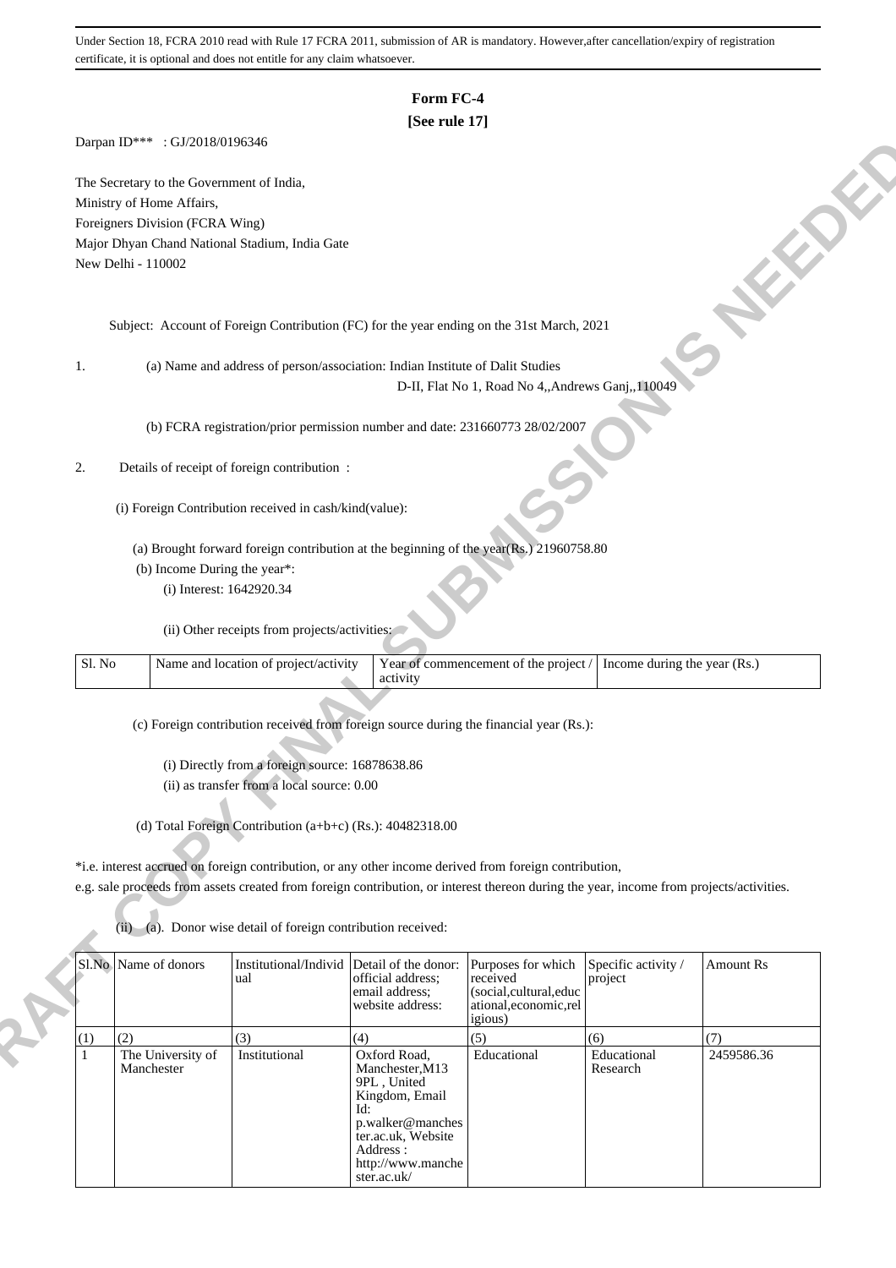## **Form FC-4**

## **[See rule 17]**

Darpan ID\*\*\* : GJ/2018/0196346

### 2. Details of receipt of foreign contribution :

| Sl. No | Name and location of project/activity | Year of commencement of the project $/$ Income during the year (Rs.) |  |
|--------|---------------------------------------|----------------------------------------------------------------------|--|
|        |                                       |                                                                      |  |

|        | The Secretary to the Government of India, |                                                               |                                                                                                                                         |                                                   |                              |                  |
|--------|-------------------------------------------|---------------------------------------------------------------|-----------------------------------------------------------------------------------------------------------------------------------------|---------------------------------------------------|------------------------------|------------------|
|        | Ministry of Home Affairs,                 |                                                               |                                                                                                                                         |                                                   |                              |                  |
|        | Foreigners Division (FCRA Wing)           |                                                               |                                                                                                                                         |                                                   |                              |                  |
|        |                                           | Major Dhyan Chand National Stadium, India Gate                |                                                                                                                                         |                                                   |                              |                  |
|        | New Delhi - 110002                        |                                                               |                                                                                                                                         |                                                   |                              |                  |
|        |                                           |                                                               |                                                                                                                                         |                                                   |                              |                  |
|        |                                           |                                                               |                                                                                                                                         |                                                   |                              |                  |
|        |                                           |                                                               | Subject: Account of Foreign Contribution (FC) for the year ending on the 31st March, 2021                                               |                                                   |                              |                  |
|        |                                           |                                                               |                                                                                                                                         |                                                   |                              |                  |
| 1.     |                                           |                                                               | (a) Name and address of person/association: Indian Institute of Dalit Studies                                                           |                                                   |                              |                  |
|        |                                           |                                                               |                                                                                                                                         | D-II, Flat No 1, Road No 4,, Andrews Ganj, 110049 |                              |                  |
|        |                                           |                                                               |                                                                                                                                         |                                                   |                              |                  |
|        |                                           |                                                               | (b) FCRA registration/prior permission number and date: 231660773 28/02/2007                                                            |                                                   |                              |                  |
|        |                                           |                                                               |                                                                                                                                         |                                                   |                              |                  |
| 2.     |                                           | Details of receipt of foreign contribution :                  |                                                                                                                                         |                                                   |                              |                  |
|        |                                           |                                                               |                                                                                                                                         |                                                   |                              |                  |
|        |                                           | (i) Foreign Contribution received in cash/kind(value):        |                                                                                                                                         |                                                   |                              |                  |
|        |                                           |                                                               | (a) Brought forward foreign contribution at the beginning of the year(Rs.) 21960758.80                                                  |                                                   |                              |                  |
|        |                                           | (b) Income During the year*:                                  |                                                                                                                                         |                                                   |                              |                  |
|        |                                           | (i) Interest: 1642920.34                                      |                                                                                                                                         |                                                   |                              |                  |
|        |                                           |                                                               |                                                                                                                                         |                                                   |                              |                  |
|        |                                           | (ii) Other receipts from projects/activities:                 |                                                                                                                                         |                                                   |                              |                  |
|        |                                           |                                                               |                                                                                                                                         |                                                   |                              |                  |
| Sl. No |                                           | Name and location of project/activity                         | activity                                                                                                                                | Year of commencement of the project /             | Income during the year (Rs.) |                  |
|        |                                           |                                                               |                                                                                                                                         |                                                   |                              |                  |
|        |                                           |                                                               |                                                                                                                                         |                                                   |                              |                  |
|        |                                           |                                                               | (c) Foreign contribution received from foreign source during the financial year (Rs.):                                                  |                                                   |                              |                  |
|        |                                           | (i) Directly from a foreign source: 16878638.86               |                                                                                                                                         |                                                   |                              |                  |
|        |                                           |                                                               |                                                                                                                                         |                                                   |                              |                  |
|        |                                           |                                                               |                                                                                                                                         |                                                   |                              |                  |
|        |                                           | (ii) as transfer from a local source: 0.00                    |                                                                                                                                         |                                                   |                              |                  |
|        |                                           |                                                               |                                                                                                                                         |                                                   |                              |                  |
|        |                                           | (d) Total Foreign Contribution $(a+b+c)$ (Rs.): 40482318.00   |                                                                                                                                         |                                                   |                              |                  |
|        |                                           |                                                               |                                                                                                                                         |                                                   |                              |                  |
|        |                                           |                                                               | *i.e. interest accrued on foreign contribution, or any other income derived from foreign contribution,                                  |                                                   |                              |                  |
|        |                                           |                                                               | e.g. sale proceeds from assets created from foreign contribution, or interest thereon during the year, income from projects/activities. |                                                   |                              |                  |
|        |                                           |                                                               |                                                                                                                                         |                                                   |                              |                  |
|        |                                           | (ii) (a). Donor wise detail of foreign contribution received: |                                                                                                                                         |                                                   |                              |                  |
|        | Sl.No Name of donors                      | Institutional/Individ                                         | Detail of the donor:                                                                                                                    | Purposes for which                                | Specific activity /          | <b>Amount Rs</b> |
|        |                                           | ual                                                           | official address;                                                                                                                       | received                                          | project                      |                  |
|        |                                           |                                                               | email address;<br>website address:                                                                                                      | (social,cultural,educ<br>ational,economic,rel     |                              |                  |
|        |                                           |                                                               |                                                                                                                                         | igious)                                           |                              |                  |
| (1)    | (2)                                       | (3)                                                           | (4)                                                                                                                                     | (5)                                               | (6)                          | (7)              |
| 1      | The University of<br>Manchester           | Institutional                                                 | Oxford Road,<br>Manchester, M13                                                                                                         | Educational                                       | Educational<br>Research      | 2459586.36       |
|        |                                           |                                                               | 9PL, United                                                                                                                             |                                                   |                              |                  |
|        |                                           |                                                               | Kingdom, Email<br>Id:                                                                                                                   |                                                   |                              |                  |
|        |                                           |                                                               | p.walker@manches                                                                                                                        |                                                   |                              |                  |
|        |                                           |                                                               | ter.ac.uk, Website<br>Address:<br>http://www.manche                                                                                     |                                                   |                              |                  |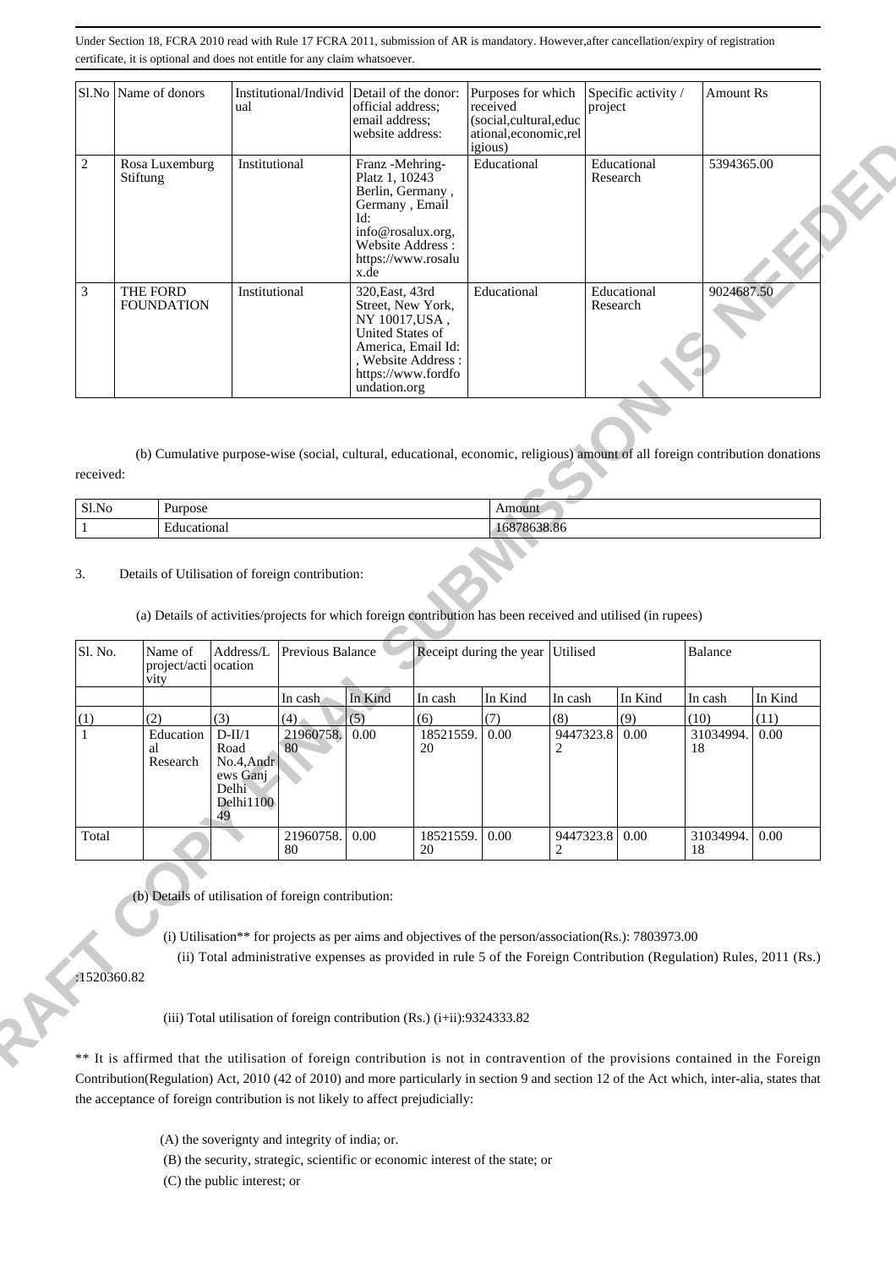|            |          | Sl.No Name of donors                    | ual                                                                           | Institutional/Individ                           | Detail of the donor:<br>official address;<br>email address;<br>website address: |                                                                                     | Purposes for which<br>received<br>(social,cultural,educ<br>ational,economic,rel<br>igious)                                                       | project                                | Specific activity /     | <b>Amount Rs</b>        |              |
|------------|----------|-----------------------------------------|-------------------------------------------------------------------------------|-------------------------------------------------|---------------------------------------------------------------------------------|-------------------------------------------------------------------------------------|--------------------------------------------------------------------------------------------------------------------------------------------------|----------------------------------------|-------------------------|-------------------------|--------------|
| $\sqrt{2}$ | Stiftung | Rosa Luxemburg                          | Institutional                                                                 |                                                 | Franz -Mehring-<br>Platz 1, 10243<br>Germany, Email<br>Id:<br>x.de              | Berlin, Germany,<br>info@rosalux.org,<br>Website Address:<br>https://www.rosalu     | Educational                                                                                                                                      |                                        | Educational<br>Research | 5394365.00              |              |
| 3          |          | THE FORD<br><b>FOUNDATION</b>           | Institutional                                                                 |                                                 | 320, East, 43rd<br>NY 10017, USA,<br><b>United States of</b><br>undation.org    | Street, New York,<br>America, Email Id:<br>, Website Address:<br>https://www.fordfo | Educational                                                                                                                                      |                                        | Educational<br>Research | 9024687.50              |              |
| received:  |          |                                         |                                                                               |                                                 |                                                                                 |                                                                                     | (b) Cumulative purpose-wise (social, cultural, educational, economic, religious) amount of all foreign contribution donations                    |                                        |                         |                         |              |
| Sl.No      |          | Purpose                                 |                                                                               |                                                 |                                                                                 |                                                                                     | Amount                                                                                                                                           |                                        |                         |                         |              |
|            |          |                                         |                                                                               |                                                 |                                                                                 |                                                                                     |                                                                                                                                                  |                                        |                         |                         |              |
| 3.         |          | Educational                             |                                                                               | Details of Utilisation of foreign contribution: |                                                                                 |                                                                                     | 16878638.86                                                                                                                                      |                                        |                         |                         |              |
| Sl. No.    |          | Name of<br>project/acti ocation<br>vity | Address/L                                                                     | Previous Balance                                |                                                                                 |                                                                                     | (a) Details of activities/projects for which foreign contribution has been received and utilised (in rupees)<br>Receipt during the year Utilised |                                        |                         | Balance                 |              |
|            |          |                                         |                                                                               | In cash                                         | In Kind                                                                         | In cash                                                                             | In Kind                                                                                                                                          | In cash                                | In Kind                 | In cash                 | In Kind      |
| (1)        |          | (2)<br>Education<br>al<br>Research      | (3)<br>$D-II/1$<br>Road<br>No.4, Andr<br>ews Ganj<br>Delhi<br>Delhi1100<br>49 | (4)<br>21960758.<br>80                          | (5)<br>0.00                                                                     | (6)<br>18521559.<br>20                                                              | (7)<br>0.00                                                                                                                                      | (8)<br>9447323.8 0.00<br>$\mathcal{D}$ | (9)                     | (10)<br>31034994.<br>18 | (11)<br>0.00 |

| Sl.No | Purpose<br>--- | $-$ and $    -$<br>Amount      |
|-------|----------------|--------------------------------|
|       | Educational    | $\sim$ $\sim$<br>ശാര.യ<br>108. |

### 3. Details of Utilisation of foreign contribution:

| Sl. No. | Name of<br>project/acti ocation<br>vity | Address/L                                                                  | Previous Balance |         |                 | Receipt during the year Utilised |                  |         | Balance         |         |
|---------|-----------------------------------------|----------------------------------------------------------------------------|------------------|---------|-----------------|----------------------------------|------------------|---------|-----------------|---------|
|         |                                         |                                                                            | In cash          | In Kind | In cash         | In Kind                          | In cash          | In Kind | In cash         | In Kind |
| (1)     | (2)                                     | (3)                                                                        | (4)              | (5)     | (6)             | (7)                              | (8)              | (9)     | (10)            | (11)    |
|         | Education<br>al<br>Research             | $D-III/1$<br>Road<br>$No.4$ , Andr<br>ews Ganj<br>Delhi<br>Delhi1100<br>49 | 21960758.<br>80  | 0.00    | 18521559.<br>20 | 0.00                             | 9447323.8<br>2   | 0.00    | 31034994.<br>18 | 0.00    |
| Total   |                                         |                                                                            | 21960758.<br>80  | 0.00    | 18521559.<br>20 | 0.00                             | 9447323.8   0.00 |         | 31034994.<br>18 | 0.00    |

\*\* It is affirmed that the utilisation of foreign contribution is not in contravention of the provisions contained in the Foreign Contribution(Regulation) Act, 2010 (42 of 2010) and more particularly in section 9 and section 12 of the Act which, inter-alia, states that the acceptance of foreign contribution is not likely to affect prejudicially:

- (A) the soverignty and integrity of india; or.
- (B) the security, strategic, scientific or economic interest of the state; or
- (C) the public interest; or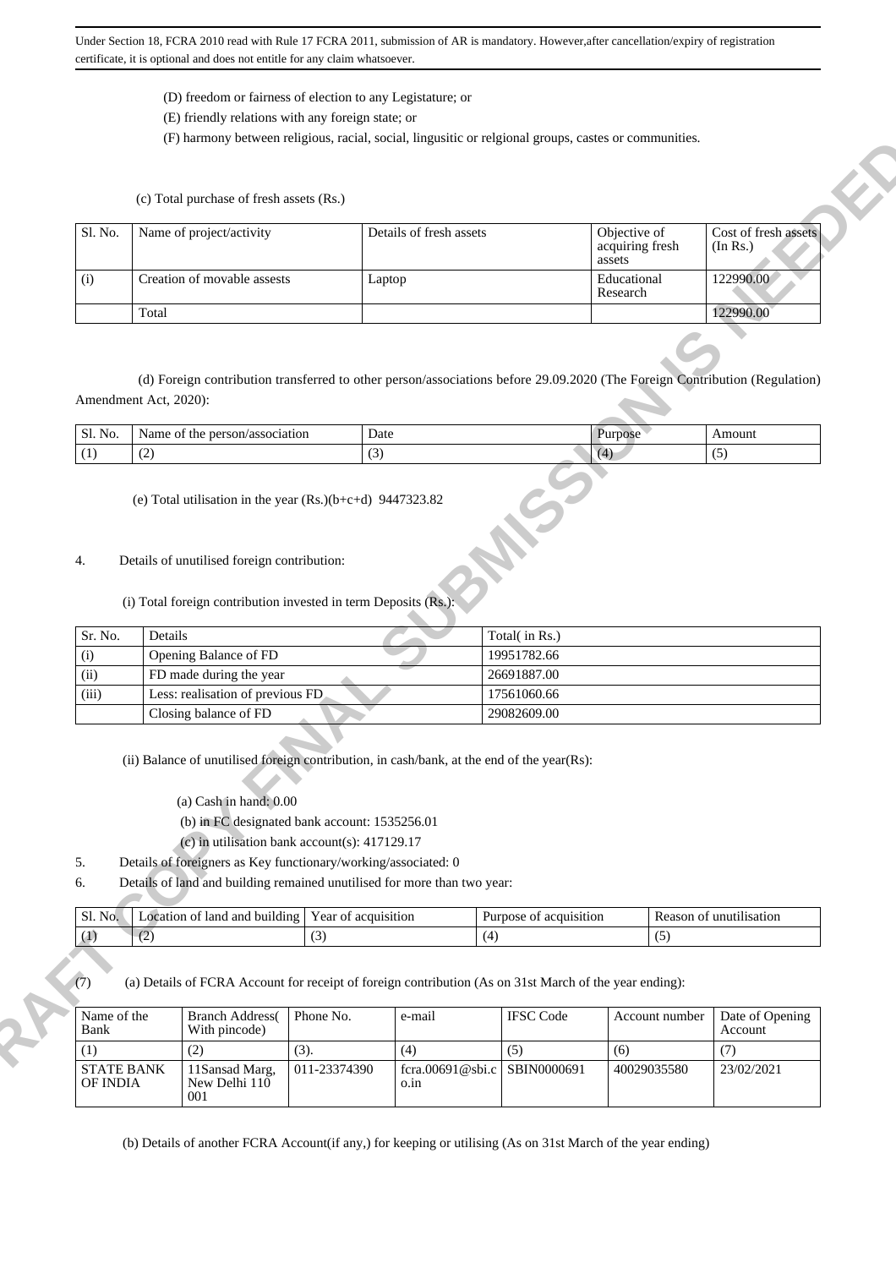- (D) freedom or fairness of election to any Legistature; or
- (E) friendly relations with any foreign state; or

(F) harmony between religious, racial, social, lingusitic or relgional groups, castes or communities.

| Sl. No.                           |                       | Name of project/activity                                                                                                                                                                                                                                                                       |                            | Details of fresh assets |                               | Objective of              |                | Cost of fresh assets              |
|-----------------------------------|-----------------------|------------------------------------------------------------------------------------------------------------------------------------------------------------------------------------------------------------------------------------------------------------------------------------------------|----------------------------|-------------------------|-------------------------------|---------------------------|----------------|-----------------------------------|
|                                   |                       |                                                                                                                                                                                                                                                                                                |                            |                         |                               | acquiring fresh<br>assets |                | (In Rs.)                          |
| (i)                               |                       | Creation of movable assests                                                                                                                                                                                                                                                                    |                            | Laptop                  |                               | Educational<br>Research   |                | 122990.00                         |
|                                   | Total                 |                                                                                                                                                                                                                                                                                                |                            |                         |                               |                           |                | 122990.00                         |
| Sl. No.                           | Amendment Act, 2020): | (d) Foreign contribution transferred to other person/associations before 29.09.2020 (The Foreign Contribution (Regulation)<br>Name of the person/association                                                                                                                                   |                            | Date                    |                               | Purpose                   |                | Amount                            |
| (1)                               | (2)                   |                                                                                                                                                                                                                                                                                                | (3)                        |                         |                               | (4)                       |                | (5)                               |
|                                   |                       |                                                                                                                                                                                                                                                                                                |                            |                         |                               |                           |                |                                   |
| Sr. No.<br>(i)                    | Details               | Opening Balance of FD                                                                                                                                                                                                                                                                          |                            |                         | Total(in Rs.)<br>19951782.66  |                           |                |                                   |
| (ii)                              |                       | FD made during the year                                                                                                                                                                                                                                                                        |                            |                         | 26691887.00                   |                           |                |                                   |
| (iii)                             |                       | Less: realisation of previous FD<br>Closing balance of FD                                                                                                                                                                                                                                      |                            |                         | 17561060.66<br>29082609.00    |                           |                |                                   |
| 5.                                |                       | (ii) Balance of unutilised foreign contribution, in cash/bank, at the end of the year(Rs):<br>$(a)$ Cash in hand: $0.00$<br>(b) in FC designated bank account: 1535256.01<br>(c) in utilisation bank account(s): $417129.17$<br>Details of foreigners as Key functionary/working/associated: 0 |                            |                         |                               |                           |                |                                   |
| 6.                                |                       | Details of land and building remained unutilised for more than two year:                                                                                                                                                                                                                       |                            |                         |                               |                           |                |                                   |
| Sl. No.<br>$\left(1\right)$       | (2)                   | Location of land and building                                                                                                                                                                                                                                                                  | Year of acquisition<br>(3) |                         | Purpose of acquisition<br>(4) |                           | (5)            | Reason of unutilisation           |
| (7)<br>Name of the<br>Bank<br>(1) |                       | (a) Details of FCRA Account for receipt of foreign contribution (As on 31st March of the year ending):<br><b>Branch Address</b> (<br>With pincode)<br>(2)                                                                                                                                      | Phone No.<br>(3).          | e-mail<br>(4)           | <b>IFSC</b> Code<br>(5)       | (6)                       | Account number | Date of Opening<br>Account<br>(7) |

| C1<br>No.<br>JЬ. | nerson/association<br>ame<br>.ne | Date                       | $-1112$<br>.moun |
|------------------|----------------------------------|----------------------------|------------------|
|                  | $\sim$<br>. <u>. .</u>           | $\tilde{\phantom{a}}$<br>ຼ |                  |

- 4. Details of unutilised foreign contribution:
	- (i) Total foreign contribution invested in term Deposits (Rs.):

| Sr. No. | Details                           | Total( in Rs.) |
|---------|-----------------------------------|----------------|
| (i)     | Opening Balance of FD             | 19951782.66    |
| (ii)    | FD made during the year           | 26691887.00    |
| (iii)   | Less: realisation of previous FD. | 17561060.66    |
|         | Closing balance of FD             | 29082609.00    |

- (a) Cash in hand: 0.00
- (b) in FC designated bank account: 1535256.01
- (c) in utilisation bank account(s): 417129.17
- 5. Details of foreigners as Key functionary/working/associated: 0
- 6. Details of land and building remained unutilised for more than two year:

| No.<br>Sl. | .<br>land<br>and<br>building<br>ocation<br>ΩŤ | ear<br>acquisition<br>ΩŤ | Purnose<br>acquisition<br>. от | tisation<br>unut<br>Reason<br>OГ |
|------------|-----------------------------------------------|--------------------------|--------------------------------|----------------------------------|
|            | . <u>. .</u>                                  | $\overline{\phantom{a}}$ | $\sim$                         | . .                              |

| Name of the<br>Bank           | <b>Branch Address</b><br>With pincode)  | Phone No.    | e-mail                               | <b>IFSC</b> Code | Account number | Date of Opening<br>Account |
|-------------------------------|-----------------------------------------|--------------|--------------------------------------|------------------|----------------|----------------------------|
| (1)                           | (2)                                     | (3).         | (4)                                  | (5)              | (6)            |                            |
| <b>STATE BANK</b><br>OF INDIA | 11 Sansad Marg,<br>New Delhi 110<br>001 | 011-23374390 | fcra.00691@sbi.c SBIN0000691<br>0.1n |                  | 40029035580    | 23/02/2021                 |

(b) Details of another FCRA Account(if any,) for keeping or utilising (As on 31st March of the year ending)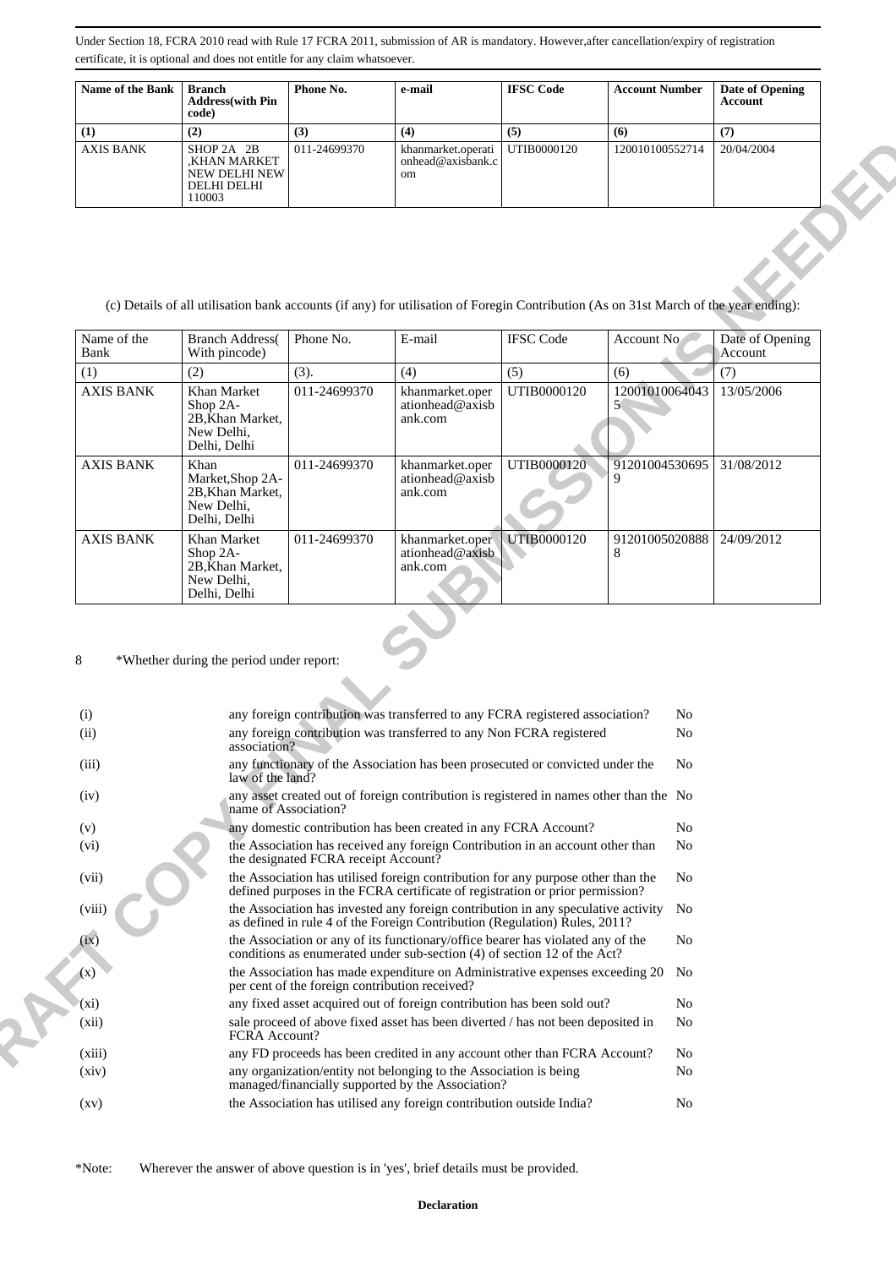| <b>Name of the Bank</b> | Branch<br><b>Address</b> (with Pin<br>code)                                 | Phone No.    | e-mail                                         | <b>IFSC Code</b> | <b>Account Number</b> | Date of Opening<br><b>Account</b> |
|-------------------------|-----------------------------------------------------------------------------|--------------|------------------------------------------------|------------------|-----------------------|-----------------------------------|
| (1)                     | (2)                                                                         | (3)          | (4)                                            | (5)              | (6)                   | (7)                               |
| <b>AXIS BANK</b>        | SHOP 2A 2B<br>KHAN MARKET.<br>NEW DELHI NEW<br><b>DELHI DELHI</b><br>110003 | 011-24699370 | khanmarket.operati<br>onhead@axisbank.cl<br>om | UTIB0000120      | 120010100552714       | 20/04/2004                        |

(c) Details of all utilisation bank accounts (if any) for utilisation of Foregin Contribution (As on 31st March of the year ending):

| Name of the<br>Bank | <b>Branch Address</b><br>With pincode)                                          | Phone No.    | E-mail                                        | <b>IFSC</b> Code   | Account No          | Date of Opening<br>Account |
|---------------------|---------------------------------------------------------------------------------|--------------|-----------------------------------------------|--------------------|---------------------|----------------------------|
| (1)                 | (2)                                                                             | (3).         | (4)                                           | (5)                | (6)                 | (7)                        |
| <b>AXIS BANK</b>    | Khan Market<br>$\rm Shop 2A-$<br>2B, Khan Market,<br>New Delhi,<br>Delhi, Delhi | 011-24699370 | khanmarket.oper<br>ationhead@axisb<br>ank.com | UTIB0000120        | 12001010064043      | 13/05/2006                 |
| <b>AXIS BANK</b>    | Khan<br>Market, Shop 2A-<br>2B, Khan Market,<br>New Delhi,<br>Delhi, Delhi      | 011-24699370 | khanmarket.oper<br>ationhead@axisb<br>ank.com | UTIB0000120        | 91201004530695<br>9 | 31/08/2012                 |
| <b>AXIS BANK</b>    | Khan Market<br>$\rm Shop 2A-$<br>2B, Khan Market,<br>New Delhi,<br>Delhi, Delhi | 011-24699370 | khanmarket.oper<br>ationhead@axisb<br>ank.com | <b>UTIB0000120</b> | 91201005020888<br>8 | 24/09/2012                 |

|                                               | SHOP 2A 2B<br>,KHAN MARKET<br>NEW DELHI NEW<br>DELHI DELHI<br>110003                                                                 | 011-24699370                                   | khanmarket.operati<br>onhead@axisbank.c<br>om                                                                                                                                                       | UTIB0000120      | 120010100552714                  | 20/04/2004                 |  |
|-----------------------------------------------|--------------------------------------------------------------------------------------------------------------------------------------|------------------------------------------------|-----------------------------------------------------------------------------------------------------------------------------------------------------------------------------------------------------|------------------|----------------------------------|----------------------------|--|
|                                               | (c) Details of all utilisation bank accounts (if any) for utilisation of Foregin Contribution (As on 31st March of the year ending): |                                                |                                                                                                                                                                                                     |                  |                                  |                            |  |
| Name of the<br>Bank                           | <b>Branch Address</b> (<br>With pincode)                                                                                             | Phone No.                                      | E-mail                                                                                                                                                                                              | <b>IFSC</b> Code | Account No                       | Date of Opening<br>Account |  |
| (1)                                           | (2)                                                                                                                                  | (3).                                           | (4)                                                                                                                                                                                                 | (5)              | (6)                              | (7)                        |  |
| <b>AXIS BANK</b>                              | Khan Market<br>Shop 2A-<br>2B, Khan Market,<br>New Delhi,<br>Delhi, Delhi                                                            | 011-24699370                                   | khanmarket.oper<br>ationhead@axisb<br>ank.com                                                                                                                                                       | UTIB0000120      | 12001010064043<br>5 <sub>1</sub> | 13/05/2006                 |  |
| <b>AXIS BANK</b>                              | Khan<br>Market, Shop 2A-<br>2B, Khan Market,<br>New Delhi,<br>Delhi, Delhi                                                           | 011-24699370                                   | khanmarket.oper<br>ationhead@axisb<br>ank.com                                                                                                                                                       | UTIB0000120      | 91201004530695                   | 31/08/2012                 |  |
| <b>AXIS BANK</b>                              | Khan Market<br>Shop 2A-<br>2B, Khan Market,<br>New Delhi,<br>Delhi, Delhi                                                            | 011-24699370                                   | khanmarket.oper<br>ationhead@axisb<br>ank.com                                                                                                                                                       | UTIB0000120      | 91201005020888<br>8              | 24/09/2012                 |  |
| 8<br>*Whether during the period under report: |                                                                                                                                      |                                                |                                                                                                                                                                                                     |                  |                                  |                            |  |
| (i)                                           |                                                                                                                                      |                                                | any foreign contribution was transferred to any FCRA registered association?                                                                                                                        |                  |                                  | No                         |  |
| (ii)<br>(iii)                                 | association?                                                                                                                         |                                                | any foreign contribution was transferred to any Non FCRA registered<br>any functionary of the Association has been prosecuted or convicted under the                                                |                  |                                  | No<br>N <sub>o</sub>       |  |
| (iv)                                          | law of the land?                                                                                                                     |                                                | any asset created out of foreign contribution is registered in names other than the No                                                                                                              |                  |                                  |                            |  |
| (v)                                           |                                                                                                                                      | name of Association?                           | any domestic contribution has been created in any FCRA Account?                                                                                                                                     |                  |                                  | No                         |  |
| (vi)                                          |                                                                                                                                      | the designated FCRA receipt Account?           | the Association has received any foreign Contribution in an account other than                                                                                                                      |                  |                                  | N <sub>o</sub>             |  |
| (vii)                                         |                                                                                                                                      |                                                | the Association has utilised foreign contribution for any purpose other than the<br>defined purposes in the FCRA certificate of registration or prior permission?                                   |                  |                                  | No                         |  |
| (viii)                                        |                                                                                                                                      |                                                | the Association has invested any foreign contribution in any speculative activity No<br>as defined in rule 4 of the Foreign Contribution (Regulation) Rules, 2011?                                  |                  |                                  |                            |  |
| (ix)                                          |                                                                                                                                      |                                                | the Association or any of its functionary/office bearer has violated any of the<br>conditions as enumerated under sub-section (4) of section 12 of the Act?                                         |                  |                                  | No                         |  |
| (x)                                           |                                                                                                                                      | per cent of the foreign contribution received? | the Association has made expenditure on Administrative expenses exceeding 20 No                                                                                                                     |                  |                                  |                            |  |
| $(x_i)$<br>(xii)                              |                                                                                                                                      |                                                | any fixed asset acquired out of foreign contribution has been sold out?<br>sale proceed of above fixed asset has been diverted / has not been deposited in                                          |                  |                                  | N <sub>o</sub><br>No       |  |
|                                               | <b>FCRA</b> Account?                                                                                                                 |                                                |                                                                                                                                                                                                     |                  |                                  |                            |  |
| (xiii)<br>(xiv)                               |                                                                                                                                      |                                                | any FD proceeds has been credited in any account other than FCRA Account?<br>any organization/entity not belonging to the Association is being<br>managed/financially supported by the Association? |                  |                                  | No<br>No                   |  |